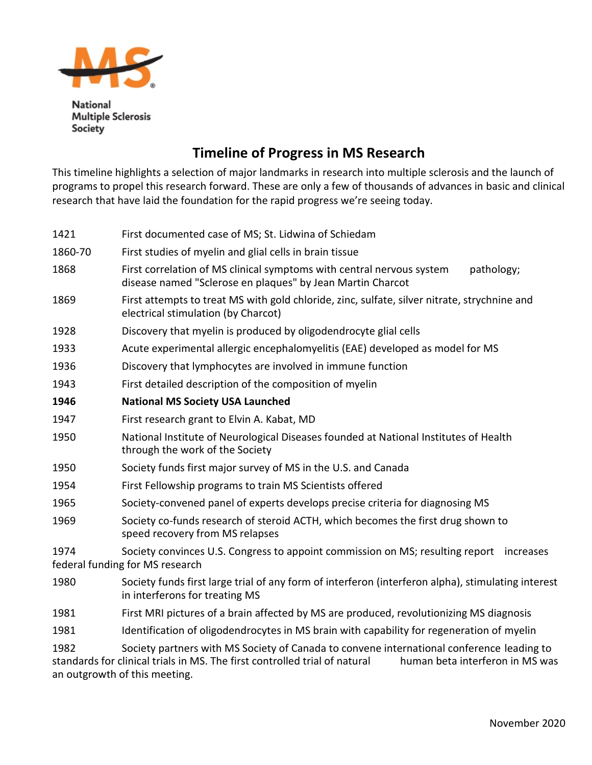

**National Multiple Sclerosis** Society

## **Timeline of Progress in MS Research**

This timeline highlights a selection of major landmarks in research into multiple sclerosis and the launch of programs to propel this research forward. These are only a few of thousands of advances in basic and clinical research that have laid the foundation for the rapid progress we're seeing today.

| 1421    | First documented case of MS; St. Lidwina of Schiedam                                                                                              |
|---------|---------------------------------------------------------------------------------------------------------------------------------------------------|
| 1860-70 | First studies of myelin and glial cells in brain tissue                                                                                           |
| 1868    | First correlation of MS clinical symptoms with central nervous system<br>pathology;<br>disease named "Sclerose en plaques" by Jean Martin Charcot |
| 1869    | First attempts to treat MS with gold chloride, zinc, sulfate, silver nitrate, strychnine and<br>electrical stimulation (by Charcot)               |
| 1928    | Discovery that myelin is produced by oligodendrocyte glial cells                                                                                  |
| 1933    | Acute experimental allergic encephalomyelitis (EAE) developed as model for MS                                                                     |
| 1936    | Discovery that lymphocytes are involved in immune function                                                                                        |
| 1943    | First detailed description of the composition of myelin                                                                                           |
| 1946    | <b>National MS Society USA Launched</b>                                                                                                           |
| 1947    | First research grant to Elvin A. Kabat, MD                                                                                                        |
| 1950    | National Institute of Neurological Diseases founded at National Institutes of Health<br>through the work of the Society                           |
| 1950    | Society funds first major survey of MS in the U.S. and Canada                                                                                     |
| 1954    | First Fellowship programs to train MS Scientists offered                                                                                          |
| 1965    | Society-convened panel of experts develops precise criteria for diagnosing MS                                                                     |
| 1969    | Society co-funds research of steroid ACTH, which becomes the first drug shown to<br>speed recovery from MS relapses                               |
| 1974    | Society convinces U.S. Congress to appoint commission on MS; resulting report increases<br>federal funding for MS research                        |
| 1980    | Society funds first large trial of any form of interferon (interferon alpha), stimulating interest<br>in interferons for treating MS              |
| 1981    | First MRI pictures of a brain affected by MS are produced, revolutionizing MS diagnosis                                                           |
| 1981    | Identification of oligodendrocytes in MS brain with capability for regeneration of myelin                                                         |

1982 Society partners with MS Society of Canada to convene international conference leading to standards for clinical trials in MS. The first controlled trial of natural human beta interferon in MS was an outgrowth of this meeting.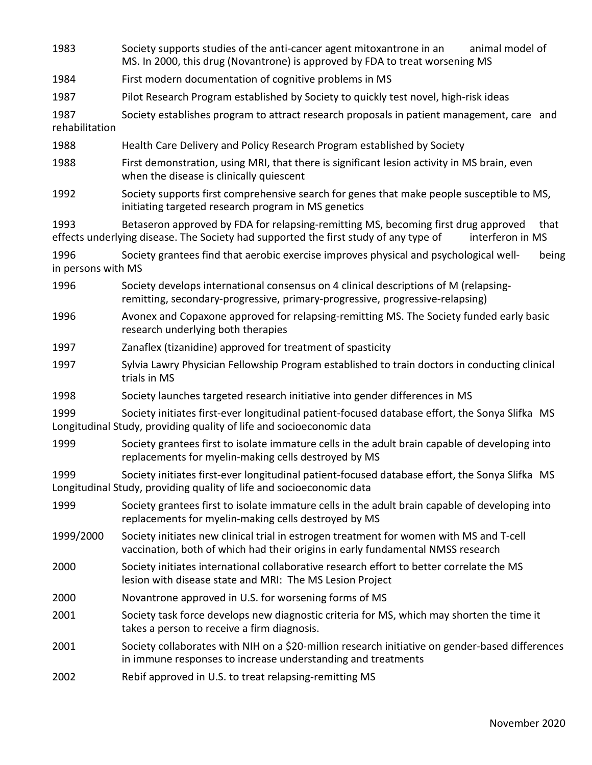| 1983                       | Society supports studies of the anti-cancer agent mitoxantrone in an<br>animal model of<br>MS. In 2000, this drug (Novantrone) is approved by FDA to treat worsening MS                                |
|----------------------------|--------------------------------------------------------------------------------------------------------------------------------------------------------------------------------------------------------|
| 1984                       | First modern documentation of cognitive problems in MS                                                                                                                                                 |
| 1987                       | Pilot Research Program established by Society to quickly test novel, high-risk ideas                                                                                                                   |
| 1987<br>rehabilitation     | Society establishes program to attract research proposals in patient management, care and                                                                                                              |
| 1988                       | Health Care Delivery and Policy Research Program established by Society                                                                                                                                |
| 1988                       | First demonstration, using MRI, that there is significant lesion activity in MS brain, even<br>when the disease is clinically quiescent                                                                |
| 1992                       | Society supports first comprehensive search for genes that make people susceptible to MS,<br>initiating targeted research program in MS genetics                                                       |
| 1993                       | Betaseron approved by FDA for relapsing-remitting MS, becoming first drug approved<br>that<br>effects underlying disease. The Society had supported the first study of any type of<br>interferon in MS |
| 1996<br>in persons with MS | Society grantees find that aerobic exercise improves physical and psychological well-<br>being                                                                                                         |
| 1996                       | Society develops international consensus on 4 clinical descriptions of M (relapsing-<br>remitting, secondary-progressive, primary-progressive, progressive-relapsing)                                  |
| 1996                       | Avonex and Copaxone approved for relapsing-remitting MS. The Society funded early basic<br>research underlying both therapies                                                                          |
| 1997                       | Zanaflex (tizanidine) approved for treatment of spasticity                                                                                                                                             |
| 1997                       | Sylvia Lawry Physician Fellowship Program established to train doctors in conducting clinical<br>trials in MS                                                                                          |
| 1998                       | Society launches targeted research initiative into gender differences in MS                                                                                                                            |
| 1999                       | Society initiates first-ever longitudinal patient-focused database effort, the Sonya Slifka MS<br>Longitudinal Study, providing quality of life and socioeconomic data                                 |
| 1999                       | Society grantees first to isolate immature cells in the adult brain capable of developing into<br>replacements for myelin-making cells destroyed by MS                                                 |
| 1999                       | Society initiates first-ever longitudinal patient-focused database effort, the Sonya Slifka MS<br>Longitudinal Study, providing quality of life and socioeconomic data                                 |
| 1999                       | Society grantees first to isolate immature cells in the adult brain capable of developing into<br>replacements for myelin-making cells destroyed by MS                                                 |
| 1999/2000                  | Society initiates new clinical trial in estrogen treatment for women with MS and T-cell<br>vaccination, both of which had their origins in early fundamental NMSS research                             |
| 2000                       | Society initiates international collaborative research effort to better correlate the MS<br>lesion with disease state and MRI: The MS Lesion Project                                                   |
| 2000                       | Novantrone approved in U.S. for worsening forms of MS                                                                                                                                                  |
| 2001                       | Society task force develops new diagnostic criteria for MS, which may shorten the time it<br>takes a person to receive a firm diagnosis.                                                               |
| 2001                       | Society collaborates with NIH on a \$20-million research initiative on gender-based differences<br>in immune responses to increase understanding and treatments                                        |
| 2002                       | Rebif approved in U.S. to treat relapsing-remitting MS                                                                                                                                                 |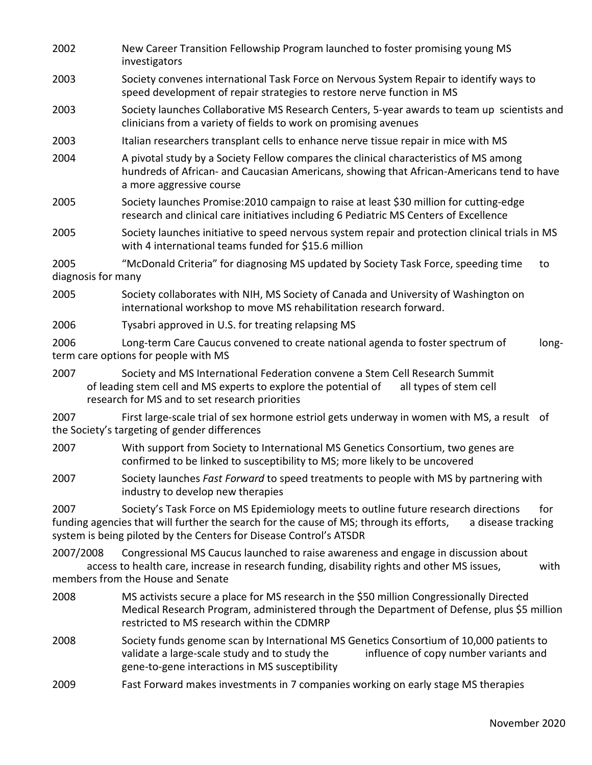- 2002 New Career Transition Fellowship Program launched to foster promising young MS investigators 2003 Society convenes international Task Force on Nervous System Repair to identify ways to speed development of repair strategies to restore nerve function in MS 2003 Society launches Collaborative MS Research Centers, 5-year awards to team up scientists and clinicians from a variety of fields to work on promising avenues 2003 Italian researchers transplant cells to enhance nerve tissue repair in mice with MS 2004 A pivotal study by a Society Fellow compares the clinical characteristics of MS among hundreds of African- and Caucasian Americans, showing that African-Americans tend to have a more aggressive course 2005 Society launches Promise:2010 campaign to raise at least \$30 million for cutting-edge research and clinical care initiatives including 6 Pediatric MS Centers of Excellence 2005 Society launches initiative to speed nervous system repair and protection clinical trials in MS with 4 international teams funded for \$15.6 million 2005 "McDonald Criteria" for diagnosing MS updated by Society Task Force, speeding time to diagnosis for many 2005 Society collaborates with NIH, MS Society of Canada and University of Washington on international workshop to move MS rehabilitation research forward. 2006 Tysabri approved in U.S. for treating relapsing MS 2006 Long-term Care Caucus convened to create national agenda to foster spectrum of longterm care options for people with MS 2007 Society and MS International Federation convene a Stem Cell Research Summit of leading stem cell and MS experts to explore the potential of all types of stem cell research for MS and to set research priorities 2007 First large-scale trial of sex hormone estriol gets underway in women with MS, a result of the Society's targeting of gender differences 2007 With support from Society to International MS Genetics Consortium, two genes are confirmed to be linked to susceptibility to MS; more likely to be uncovered 2007 Society launches *Fast Forward* to speed treatments to people with MS by partnering with industry to develop new therapies 2007 Society's Task Force on MS Epidemiology meets to outline future research directions for funding agencies that will further the search for the cause of MS; through its efforts, a disease tracking system is being piloted by the Centers for Disease Control's ATSDR 2007/2008 Congressional MS Caucus launched to raise awareness and engage in discussion about access to health care, increase in research funding, disability rights and other MS issues, with members from the House and Senate 2008 MS activists secure a place for MS research in the \$50 million Congressionally Directed Medical Research Program, administered through the Department of Defense, plus \$5 million restricted to MS research within the CDMRP 2008 Society funds genome scan by International MS Genetics Consortium of 10,000 patients to validate a large-scale study and to study the influence of copy number variants and gene-to-gene interactions in MS susceptibility
- 2009 Fast Forward makes investments in 7 companies working on early stage MS therapies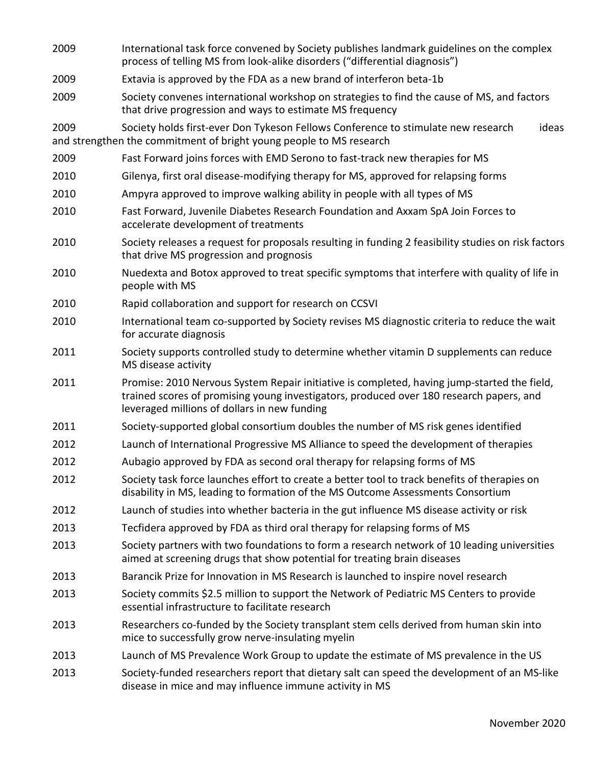| 2009 | International task force convened by Society publishes landmark guidelines on the complex<br>process of telling MS from look-alike disorders ("differential diagnosis")                                                                |
|------|----------------------------------------------------------------------------------------------------------------------------------------------------------------------------------------------------------------------------------------|
| 2009 | Extavia is approved by the FDA as a new brand of interferon beta-1b                                                                                                                                                                    |
| 2009 | Society convenes international workshop on strategies to find the cause of MS, and factors<br>that drive progression and ways to estimate MS frequency                                                                                 |
| 2009 | ideas<br>Society holds first-ever Don Tykeson Fellows Conference to stimulate new research<br>and strengthen the commitment of bright young people to MS research                                                                      |
| 2009 | Fast Forward joins forces with EMD Serono to fast-track new therapies for MS                                                                                                                                                           |
| 2010 | Gilenya, first oral disease-modifying therapy for MS, approved for relapsing forms                                                                                                                                                     |
| 2010 | Ampyra approved to improve walking ability in people with all types of MS                                                                                                                                                              |
| 2010 | Fast Forward, Juvenile Diabetes Research Foundation and Axxam SpA Join Forces to<br>accelerate development of treatments                                                                                                               |
| 2010 | Society releases a request for proposals resulting in funding 2 feasibility studies on risk factors<br>that drive MS progression and prognosis                                                                                         |
| 2010 | Nuedexta and Botox approved to treat specific symptoms that interfere with quality of life in<br>people with MS                                                                                                                        |
| 2010 | Rapid collaboration and support for research on CCSVI                                                                                                                                                                                  |
| 2010 | International team co-supported by Society revises MS diagnostic criteria to reduce the wait<br>for accurate diagnosis                                                                                                                 |
| 2011 | Society supports controlled study to determine whether vitamin D supplements can reduce<br>MS disease activity                                                                                                                         |
| 2011 | Promise: 2010 Nervous System Repair initiative is completed, having jump-started the field,<br>trained scores of promising young investigators, produced over 180 research papers, and<br>leveraged millions of dollars in new funding |
| 2011 | Society-supported global consortium doubles the number of MS risk genes identified                                                                                                                                                     |
| 2012 | Launch of International Progressive MS Alliance to speed the development of therapies                                                                                                                                                  |
| 2012 | Aubagio approved by FDA as second oral therapy for relapsing forms of MS                                                                                                                                                               |
| 2012 | Society task force launches effort to create a better tool to track benefits of therapies on<br>disability in MS, leading to formation of the MS Outcome Assessments Consortium                                                        |
| 2012 | Launch of studies into whether bacteria in the gut influence MS disease activity or risk                                                                                                                                               |
| 2013 | Tecfidera approved by FDA as third oral therapy for relapsing forms of MS                                                                                                                                                              |
| 2013 | Society partners with two foundations to form a research network of 10 leading universities<br>aimed at screening drugs that show potential for treating brain diseases                                                                |
| 2013 | Barancik Prize for Innovation in MS Research is launched to inspire novel research                                                                                                                                                     |
| 2013 | Society commits \$2.5 million to support the Network of Pediatric MS Centers to provide<br>essential infrastructure to facilitate research                                                                                             |
| 2013 | Researchers co-funded by the Society transplant stem cells derived from human skin into<br>mice to successfully grow nerve-insulating myelin                                                                                           |
| 2013 | Launch of MS Prevalence Work Group to update the estimate of MS prevalence in the US                                                                                                                                                   |
| 2013 | Society-funded researchers report that dietary salt can speed the development of an MS-like<br>disease in mice and may influence immune activity in MS                                                                                 |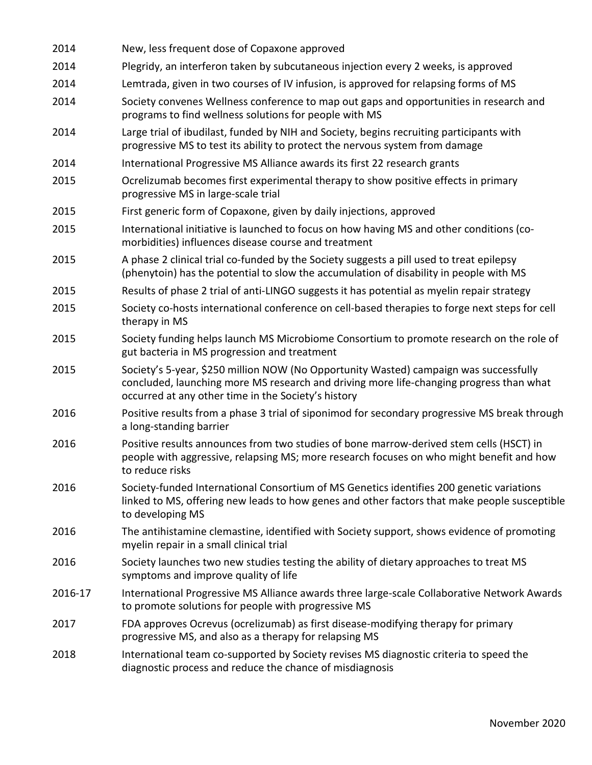| 2014    | New, less frequent dose of Copaxone approved                                                                                                                                                                                            |
|---------|-----------------------------------------------------------------------------------------------------------------------------------------------------------------------------------------------------------------------------------------|
| 2014    | Plegridy, an interferon taken by subcutaneous injection every 2 weeks, is approved                                                                                                                                                      |
| 2014    | Lemtrada, given in two courses of IV infusion, is approved for relapsing forms of MS                                                                                                                                                    |
| 2014    | Society convenes Wellness conference to map out gaps and opportunities in research and<br>programs to find wellness solutions for people with MS                                                                                        |
| 2014    | Large trial of ibudilast, funded by NIH and Society, begins recruiting participants with<br>progressive MS to test its ability to protect the nervous system from damage                                                                |
| 2014    | International Progressive MS Alliance awards its first 22 research grants                                                                                                                                                               |
| 2015    | Ocrelizumab becomes first experimental therapy to show positive effects in primary<br>progressive MS in large-scale trial                                                                                                               |
| 2015    | First generic form of Copaxone, given by daily injections, approved                                                                                                                                                                     |
| 2015    | International initiative is launched to focus on how having MS and other conditions (co-<br>morbidities) influences disease course and treatment                                                                                        |
| 2015    | A phase 2 clinical trial co-funded by the Society suggests a pill used to treat epilepsy<br>(phenytoin) has the potential to slow the accumulation of disability in people with MS                                                      |
| 2015    | Results of phase 2 trial of anti-LINGO suggests it has potential as myelin repair strategy                                                                                                                                              |
| 2015    | Society co-hosts international conference on cell-based therapies to forge next steps for cell<br>therapy in MS                                                                                                                         |
| 2015    | Society funding helps launch MS Microbiome Consortium to promote research on the role of<br>gut bacteria in MS progression and treatment                                                                                                |
| 2015    | Society's 5-year, \$250 million NOW (No Opportunity Wasted) campaign was successfully<br>concluded, launching more MS research and driving more life-changing progress than what<br>occurred at any other time in the Society's history |
| 2016    | Positive results from a phase 3 trial of siponimod for secondary progressive MS break through<br>a long-standing barrier                                                                                                                |
| 2016    | Positive results announces from two studies of bone marrow-derived stem cells (HSCT) in<br>people with aggressive, relapsing MS; more research focuses on who might benefit and how<br>to reduce risks                                  |
| 2016    | Society-funded International Consortium of MS Genetics identifies 200 genetic variations<br>linked to MS, offering new leads to how genes and other factors that make people susceptible<br>to developing MS                            |
| 2016    | The antihistamine clemastine, identified with Society support, shows evidence of promoting<br>myelin repair in a small clinical trial                                                                                                   |
| 2016    | Society launches two new studies testing the ability of dietary approaches to treat MS<br>symptoms and improve quality of life                                                                                                          |
| 2016-17 | International Progressive MS Alliance awards three large-scale Collaborative Network Awards<br>to promote solutions for people with progressive MS                                                                                      |
| 2017    | FDA approves Ocrevus (ocrelizumab) as first disease-modifying therapy for primary<br>progressive MS, and also as a therapy for relapsing MS                                                                                             |
| 2018    | International team co-supported by Society revises MS diagnostic criteria to speed the<br>diagnostic process and reduce the chance of misdiagnosis                                                                                      |